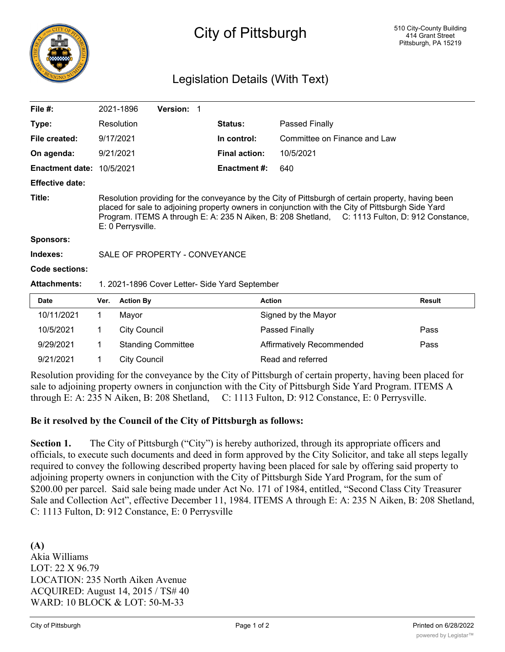

# City of Pittsburgh

# Legislation Details (With Text)

| File $#$ :                       | 2021-1896                                                                                                                                                                                                                                                                                                                      | <b>Version: 1</b> |                      |                              |  |  |
|----------------------------------|--------------------------------------------------------------------------------------------------------------------------------------------------------------------------------------------------------------------------------------------------------------------------------------------------------------------------------|-------------------|----------------------|------------------------------|--|--|
| Type:                            | <b>Resolution</b>                                                                                                                                                                                                                                                                                                              |                   | <b>Status:</b>       | Passed Finally               |  |  |
| File created:                    | 9/17/2021                                                                                                                                                                                                                                                                                                                      |                   | In control:          | Committee on Finance and Law |  |  |
| On agenda:                       | 9/21/2021                                                                                                                                                                                                                                                                                                                      |                   | <b>Final action:</b> | 10/5/2021                    |  |  |
| <b>Enactment date: 10/5/2021</b> |                                                                                                                                                                                                                                                                                                                                |                   | <b>Enactment #:</b>  | 640                          |  |  |
| <b>Effective date:</b>           |                                                                                                                                                                                                                                                                                                                                |                   |                      |                              |  |  |
| Title:                           | Resolution providing for the conveyance by the City of Pittsburgh of certain property, having been<br>placed for sale to adjoining property owners in conjunction with the City of Pittsburgh Side Yard<br>Program. ITEMS A through E: A: 235 N Aiken, B: 208 Shetland, C: 1113 Fulton, D: 912 Constance,<br>E: 0 Perrysville. |                   |                      |                              |  |  |
| <b>Sponsors:</b>                 |                                                                                                                                                                                                                                                                                                                                |                   |                      |                              |  |  |
| Indexes:                         | SALE OF PROPERTY - CONVEYANCE                                                                                                                                                                                                                                                                                                  |                   |                      |                              |  |  |
| Code sections:                   |                                                                                                                                                                                                                                                                                                                                |                   |                      |                              |  |  |
| <b>Attachments:</b>              | 1. 2021-1896 Cover Letter- Side Yard September                                                                                                                                                                                                                                                                                 |                   |                      |                              |  |  |
| Date                             | Ver.<br><b>Action By</b>                                                                                                                                                                                                                                                                                                       |                   | <b>Action</b>        | Result                       |  |  |

| Date       | Ver. | <b>Action By</b>          | <b>Action</b>             | <b>Result</b> |
|------------|------|---------------------------|---------------------------|---------------|
| 10/11/2021 |      | Mavor                     | Signed by the Mayor       |               |
| 10/5/2021  |      | City Council              | Passed Finally            | Pass          |
| 9/29/2021  |      | <b>Standing Committee</b> | Affirmatively Recommended | Pass          |
| 9/21/2021  |      | City Council              | Read and referred         |               |

Resolution providing for the conveyance by the City of Pittsburgh of certain property, having been placed for sale to adjoining property owners in conjunction with the City of Pittsburgh Side Yard Program. ITEMS A through E: A: 235 N Aiken, B: 208 Shetland, C: 1113 Fulton, D: 912 Constance, E: 0 Perrysville.

#### **Be it resolved by the Council of the City of Pittsburgh as follows:**

Section 1. The City of Pittsburgh ("City") is hereby authorized, through its appropriate officers and officials, to execute such documents and deed in form approved by the City Solicitor, and take all steps legally required to convey the following described property having been placed for sale by offering said property to adjoining property owners in conjunction with the City of Pittsburgh Side Yard Program, for the sum of \$200.00 per parcel. Said sale being made under Act No. 171 of 1984, entitled, "Second Class City Treasurer Sale and Collection Act", effective December 11, 1984. ITEMS A through E: A: 235 N Aiken, B: 208 Shetland, C: 1113 Fulton, D: 912 Constance, E: 0 Perrysville

**(A)** Akia Williams LOT: 22 X 96.79 LOCATION: 235 North Aiken Avenue ACQUIRED: August 14, 2015 / TS# 40 WARD: 10 BLOCK & LOT: 50-M-33